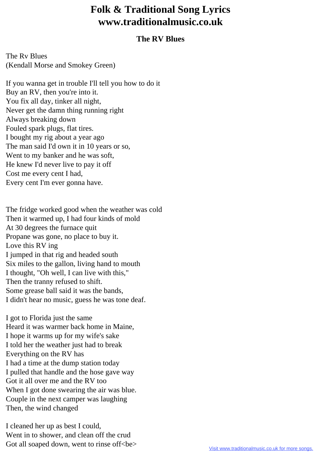## **Folk & Traditional Song Lyrics www.traditionalmusic.co.uk**

## **The RV Blues**

The Rv Blues (Kendall Morse and Smokey Green)

If you wanna get in trouble I'll tell you how to do it Buy an RV, then you're into it. You fix all day, tinker all night, Never get the damn thing running right Always breaking down Fouled spark plugs, flat tires. I bought my rig about a year ago The man said I'd own it in 10 years or so, Went to my banker and he was soft, He knew I'd never live to pay it off Cost me every cent I had, Every cent I'm ever gonna have.

The fridge worked good when the weather was cold Then it warmed up, I had four kinds of mold At 30 degrees the furnace quit Propane was gone, no place to buy it. Love this RV ing I jumped in that rig and headed south Six miles to the gallon, living hand to mouth I thought, "Oh well, I can live with this," Then the tranny refused to shift. Some grease ball said it was the bands, I didn't hear no music, guess he was tone deaf.

I got to Florida just the same Heard it was warmer back home in Maine, I hope it warms up for my wife's sake I told her the weather just had to break Everything on the RV has I had a time at the dump station today I pulled that handle and the hose gave way Got it all over me and the RV too When I got done swearing the air was blue. Couple in the next camper was laughing Then, the wind changed

I cleaned her up as best I could, Went in to shower, and clean off the crud Got all soaped down, went to rinse off<br/>be>